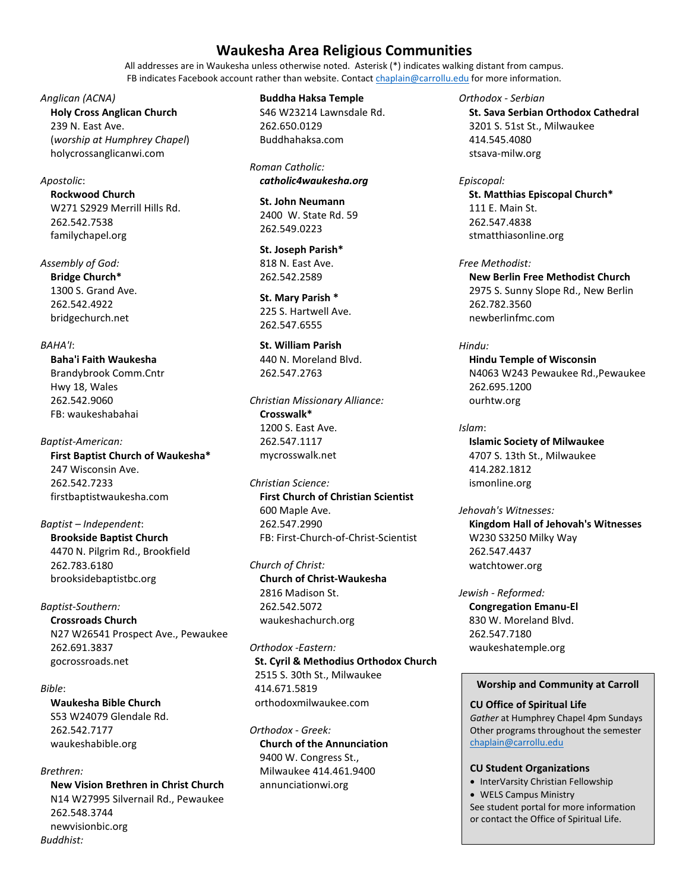# **Waukesha Area Religious Communities**

All addresses are in Waukesha unless otherwise noted. Asterisk (\*) indicates walking distant from campus. FB indicates Facebook account rather than website. Contact [chaplain@carrollu.edu](mailto:chaplain@carrollu.edu) for more information.

*Anglican (ACNA)* **Holy Cross Anglican Church** 239 N. East Ave. (*worship at Humphrey Chapel*) holycrossanglicanwi.com

#### *Apostolic*:

**Rockwood Church** W271 S2929 Merrill Hills Rd. 262.542.7538 familychapel.org

*Assembly of God:* 

**Bridge Church\*** 1300 S. Grand Ave. 262.542.4922 bridgechurch.net

## *BAHA'I*:

**Baha'i Faith Waukesha**  Brandybrook Comm.Cntr Hwy 18, Wales 262.542.9060 FB: waukeshabahai

*Baptist-American:*  **First Baptist Church of Waukesha\***  247 Wisconsin Ave. 262.542.7233 firstbaptistwaukesha.com

*Baptist – Independent*: **Brookside Baptist Church**  4470 N. Pilgrim Rd., Brookfield 262.783.6180 brooksidebaptistbc.org

# *Baptist-Southern:*

**Crossroads Church**  N27 W26541 Prospect Ave., Pewaukee 262.691.3837 gocrossroads.net

### *Bible*:

**Waukesha Bible Church**  S53 W24079 Glendale Rd. 262.542.7177 waukeshabible.org

### *Brethren:*

**New Vision Brethren in Christ Church** N14 W27995 Silvernail Rd., Pewaukee 262.548.3744 newvisionbic.org *Buddhist:* 

**Buddha Haksa Temple** 

S46 W23214 Lawnsdale Rd. 262.650.0129 Buddhahaksa.com

*Roman Catholic: catholic4waukesha.org*

**St. John Neumann**  2400 W. State Rd. 59 262.549.0223

**St. Joseph Parish\***  818 N. East Ave. 262.542.2589 Ī

**St. Mary Parish \***  225 S. Hartwell Ave. 262.547.6555

**St. William Parish**  440 N. Moreland Blvd. 262.547.2763

*Christian Missionary Alliance:*  **Crosswalk\***  1200 S. East Ave. 262.547.1117 mycrosswalk.net

*Christian Science:*  **First Church of Christian Scientist** 600 Maple Ave. 262.547.2990 FB: First-Church-of-Christ-Scientist

*Church of Christ:*  **Church of Christ-Waukesha**  2816 Madison St. 262.542.5072 waukeshachurch.org

*Orthodox -Eastern:*  **St. Cyril & Methodius Orthodox Church** 2515 S. 30th St., Milwaukee 414.671.5819 orthodoxmilwaukee.com

*Orthodox - Greek:*  **Church of the Annunciation**  9400 W. Congress St., Milwaukee 414.461.9400 annunciationwi.org

*Orthodox - Serbian* **St. Sava Serbian Orthodox Cathedral**  3201 S. 51st St., Milwaukee 414.545.4080 stsava-milw.org

*Episcopal:*  **St. Matthias Episcopal Church\*** 111 E. Main St. 262.547.4838 stmatthiasonline.org

*Free Methodist:*  **New Berlin Free Methodist Church**  2975 S. Sunny Slope Rd., New Berlin 262.782.3560 newberlinfmc.com

*Hindu:*  **Hindu Temple of Wisconsin**  N4063 W243 Pewaukee Rd.,Pewaukee 262.695.1200

*Islam*: **Islamic Society of Milwaukee**  4707 S. 13th St., Milwaukee 414.282.1812 ismonline.org

ourhtw.org

*Jehovah's Witnesses:*  **Kingdom Hall of Jehovah's Witnesses**  W230 S3250 Milky Way 262.547.4437 watchtower.org

*Jewish - Reformed:*  **Congregation Emanu-El**  830 W. Moreland Blvd. 262.547.7180 waukeshatemple.org

#### **Worship and Community at Carroll**

**CU Office of Spiritual Life** *Gather* at Humphrey Chapel 4pm Sundays Other programs throughout the semester [chaplain@carrollu.edu](mailto:chaplain@carrollu.edu)

### **CU Student Organizations**

• InterVarsity Christian Fellowship • WELS Campus Ministry See student portal for more information or contact the Office of Spiritual Life.